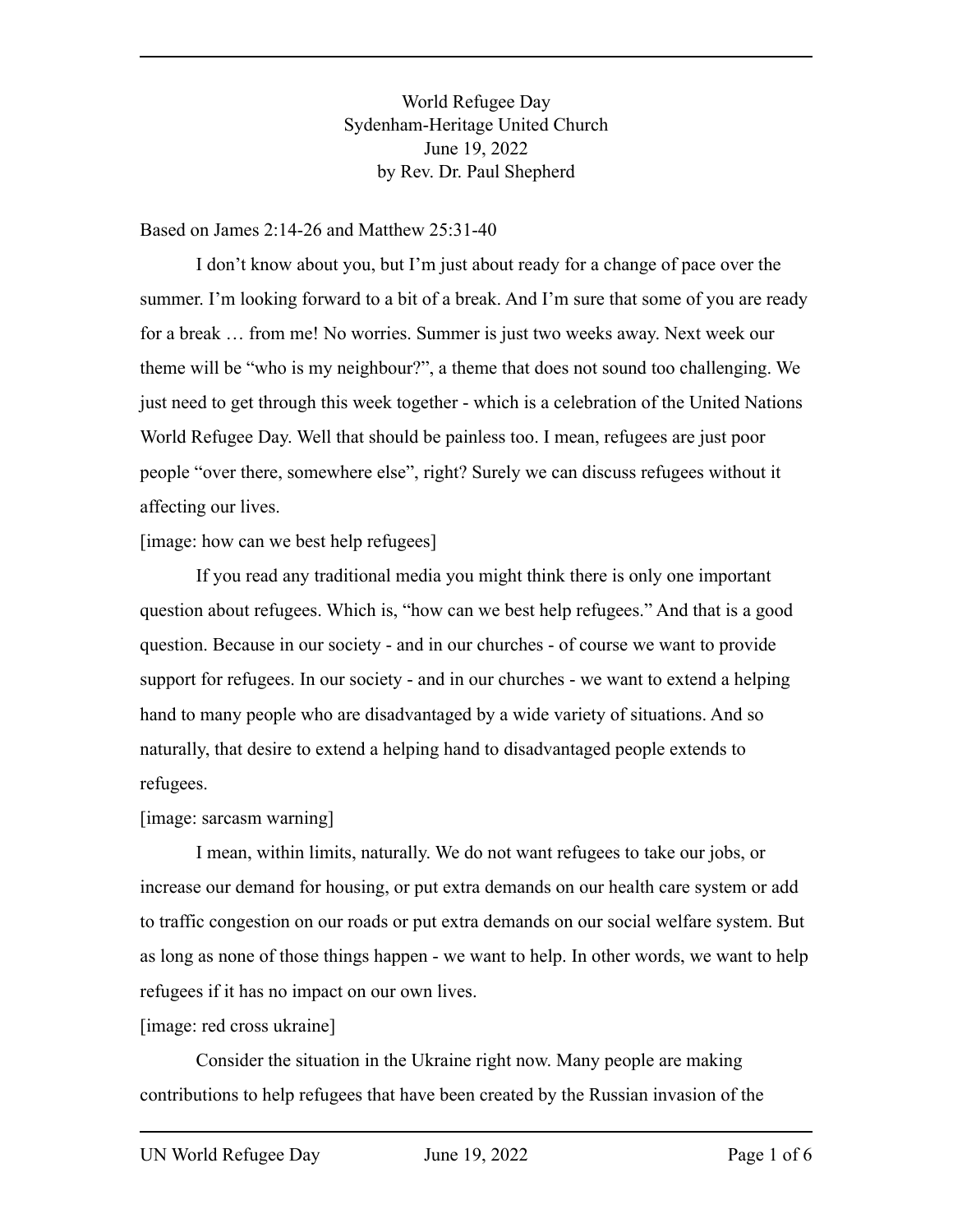World Refugee Day Sydenham-Heritage United Church June 19, 2022 by Rev. Dr. Paul Shepherd

Based on James 2:14-26 and Matthew 25:31-40

I don't know about you, but I'm just about ready for a change of pace over the summer. I'm looking forward to a bit of a break. And I'm sure that some of you are ready for a break … from me! No worries. Summer is just two weeks away. Next week our theme will be "who is my neighbour?", a theme that does not sound too challenging. We just need to get through this week together - which is a celebration of the United Nations World Refugee Day. Well that should be painless too. I mean, refugees are just poor people "over there, somewhere else", right? Surely we can discuss refugees without it affecting our lives.

[image: how can we best help refugees]

If you read any traditional media you might think there is only one important question about refugees. Which is, "how can we best help refugees." And that is a good question. Because in our society - and in our churches - of course we want to provide support for refugees. In our society - and in our churches - we want to extend a helping hand to many people who are disadvantaged by a wide variety of situations. And so naturally, that desire to extend a helping hand to disadvantaged people extends to refugees.

## [image: sarcasm warning]

I mean, within limits, naturally. We do not want refugees to take our jobs, or increase our demand for housing, or put extra demands on our health care system or add to traffic congestion on our roads or put extra demands on our social welfare system. But as long as none of those things happen - we want to help. In other words, we want to help refugees if it has no impact on our own lives.

[image: red cross ukraine]

Consider the situation in the Ukraine right now. Many people are making contributions to help refugees that have been created by the Russian invasion of the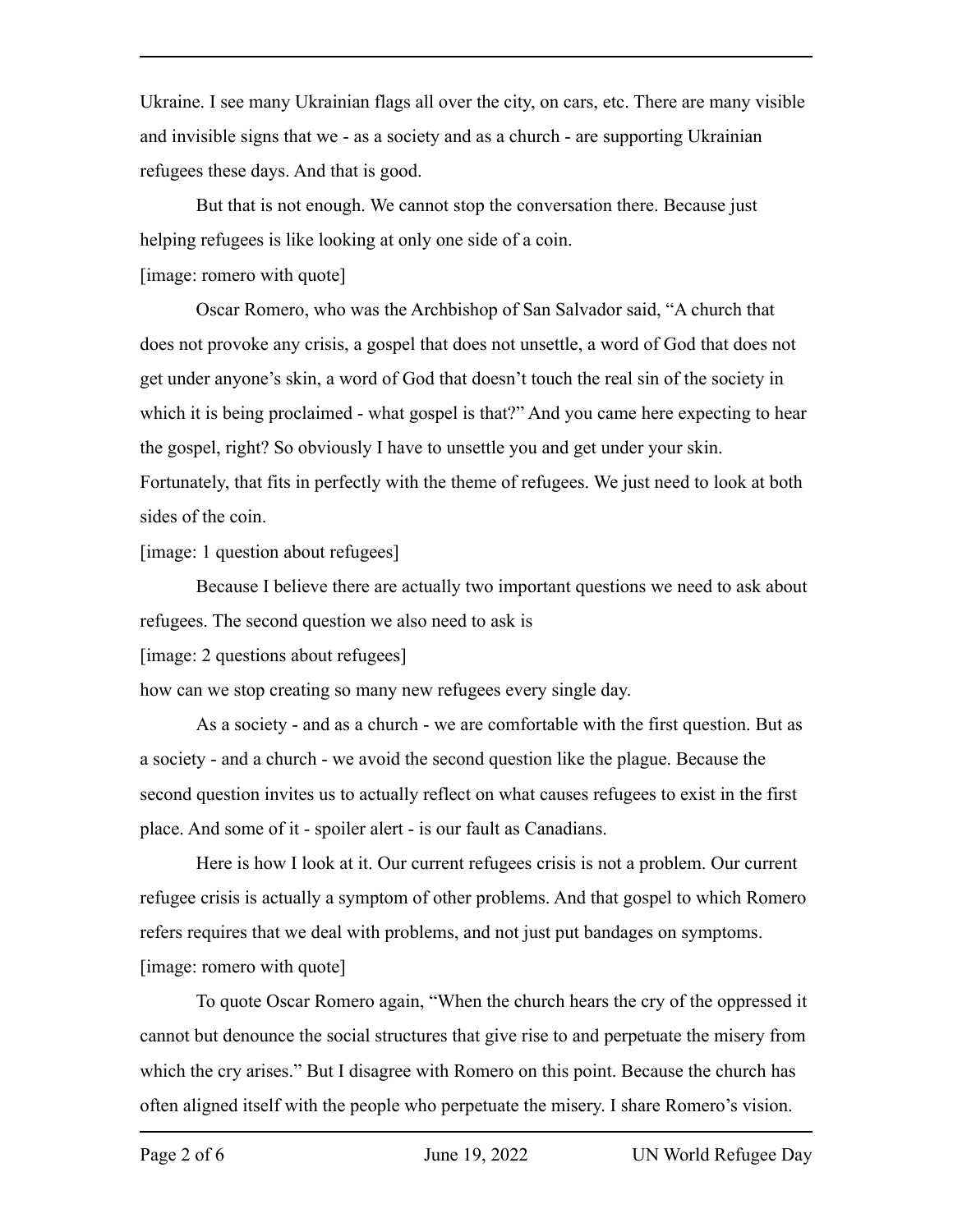Ukraine. I see many Ukrainian flags all over the city, on cars, etc. There are many visible and invisible signs that we - as a society and as a church - are supporting Ukrainian refugees these days. And that is good.

But that is not enough. We cannot stop the conversation there. Because just helping refugees is like looking at only one side of a coin.

[image: romero with quote]

Oscar Romero, who was the Archbishop of San Salvador said, "A church that does not provoke any crisis, a gospel that does not unsettle, a word of God that does not get under anyone's skin, a word of God that doesn't touch the real sin of the society in which it is being proclaimed - what gospel is that?" And you came here expecting to hear the gospel, right? So obviously I have to unsettle you and get under your skin. Fortunately, that fits in perfectly with the theme of refugees. We just need to look at both sides of the coin.

[image: 1 question about refugees]

Because I believe there are actually two important questions we need to ask about refugees. The second question we also need to ask is

[image: 2 questions about refugees]

how can we stop creating so many new refugees every single day.

As a society - and as a church - we are comfortable with the first question. But as a society - and a church - we avoid the second question like the plague. Because the second question invites us to actually reflect on what causes refugees to exist in the first place. And some of it - spoiler alert - is our fault as Canadians.

Here is how I look at it. Our current refugees crisis is not a problem. Our current refugee crisis is actually a symptom of other problems. And that gospel to which Romero refers requires that we deal with problems, and not just put bandages on symptoms. [image: romero with quote]

To quote Oscar Romero again, "When the church hears the cry of the oppressed it cannot but denounce the social structures that give rise to and perpetuate the misery from which the cry arises." But I disagree with Romero on this point. Because the church has often aligned itself with the people who perpetuate the misery. I share Romero's vision.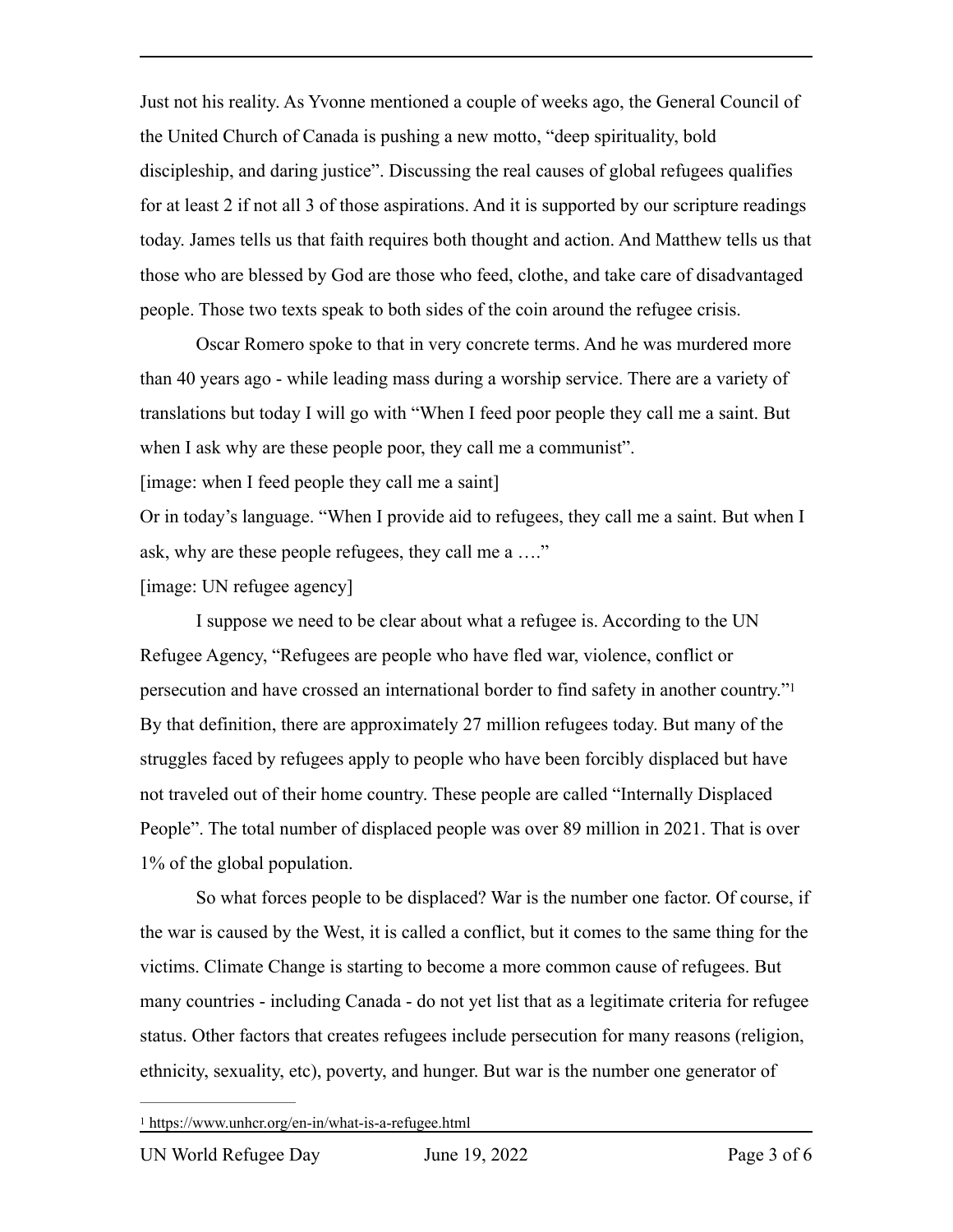Just not his reality. As Yvonne mentioned a couple of weeks ago, the General Council of the United Church of Canada is pushing a new motto, "deep spirituality, bold discipleship, and daring justice". Discussing the real causes of global refugees qualifies for at least 2 if not all 3 of those aspirations. And it is supported by our scripture readings today. James tells us that faith requires both thought and action. And Matthew tells us that those who are blessed by God are those who feed, clothe, and take care of disadvantaged people. Those two texts speak to both sides of the coin around the refugee crisis.

Oscar Romero spoke to that in very concrete terms. And he was murdered more than 40 years ago - while leading mass during a worship service. There are a variety of translations but today I will go with "When I feed poor people they call me a saint. But when I ask why are these people poor, they call me a communist".

[image: when I feed people they call me a saint]

Or in today's language. "When I provide aid to refugees, they call me a saint. But when I ask, why are these people refugees, they call me a …."

[image: UN refugee agency]

<span id="page-2-1"></span>I suppose we need to be clear about what a refugee is. According to the UN Refugee Agency, "Refugees are people who have fled war, violence, conflict or persecution and have crossed an international border to find safety in another country.["1](#page-2-0) By that definition, there are approximately 27 million refugees today. But many of the struggles faced by refugees apply to people who have been forcibly displaced but have not traveled out of their home country. These people are called "Internally Displaced People". The total number of displaced people was over 89 million in 2021. That is over 1% of the global population.

So what forces people to be displaced? War is the number one factor. Of course, if the war is caused by the West, it is called a conflict, but it comes to the same thing for the victims. Climate Change is starting to become a more common cause of refugees. But many countries - including Canada - do not yet list that as a legitimate criteria for refugee status. Other factors that creates refugees include persecution for many reasons (religion, ethnicity, sexuality, etc), poverty, and hunger. But war is the number one generator of

<span id="page-2-0"></span>https://www.unhcr.org/en-in/what-is-a-refugee.html [1](#page-2-1)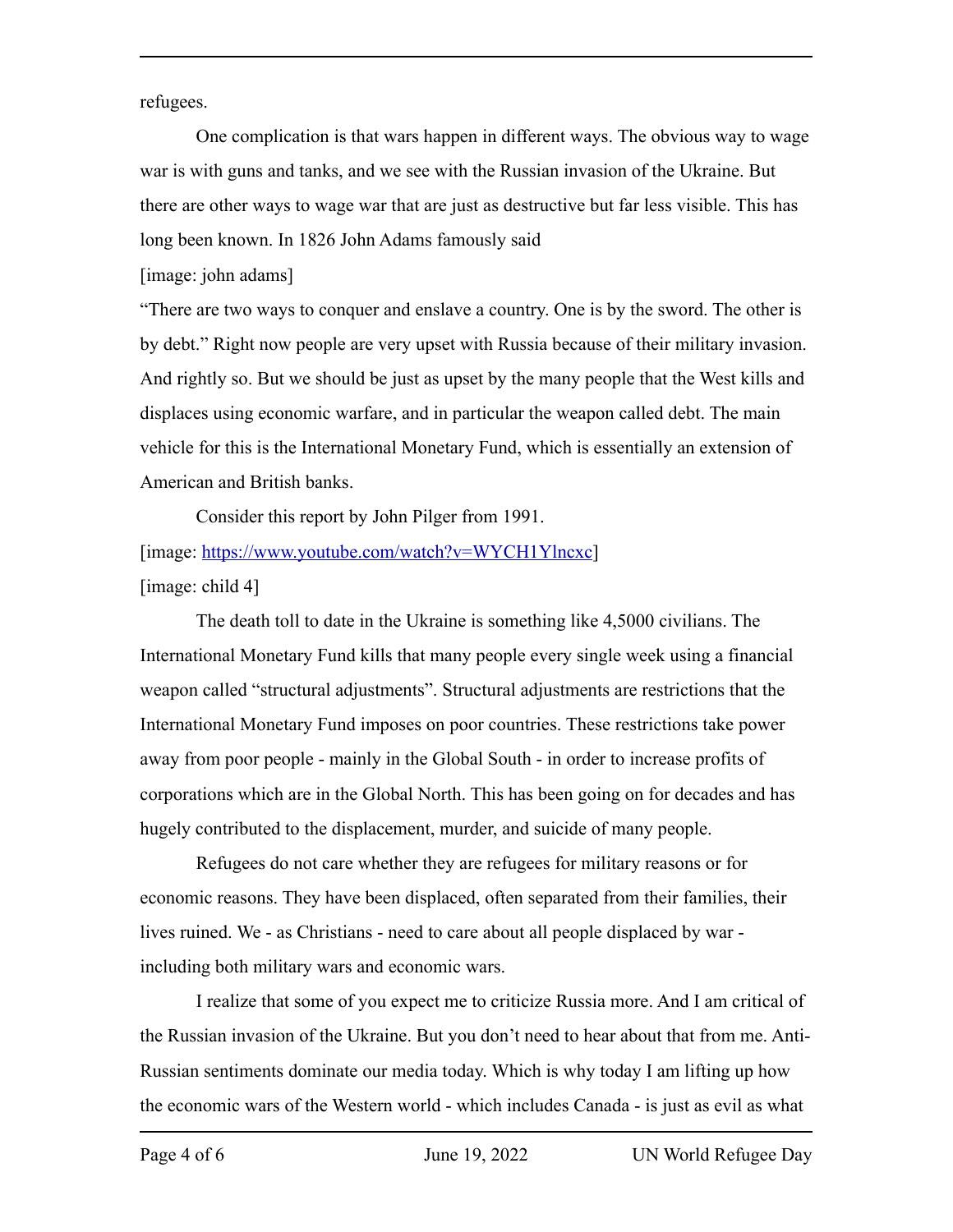refugees.

One complication is that wars happen in different ways. The obvious way to wage war is with guns and tanks, and we see with the Russian invasion of the Ukraine. But there are other ways to wage war that are just as destructive but far less visible. This has long been known. In 1826 John Adams famously said

[image: john adams]

"There are two ways to conquer and enslave a country. One is by the sword. The other is by debt." Right now people are very upset with Russia because of their military invasion. And rightly so. But we should be just as upset by the many people that the West kills and displaces using economic warfare, and in particular the weapon called debt. The main vehicle for this is the International Monetary Fund, which is essentially an extension of American and British banks.

Consider this report by John Pilger from 1991. [image: [https://www.youtube.com/watch?v=WYCH1Ylncxc\]](https://www.youtube.com/watch?v=WYCH1Ylncxc) [image: child 4]

The death toll to date in the Ukraine is something like 4,5000 civilians. The International Monetary Fund kills that many people every single week using a financial weapon called "structural adjustments". Structural adjustments are restrictions that the International Monetary Fund imposes on poor countries. These restrictions take power away from poor people - mainly in the Global South - in order to increase profits of corporations which are in the Global North. This has been going on for decades and has hugely contributed to the displacement, murder, and suicide of many people.

Refugees do not care whether they are refugees for military reasons or for economic reasons. They have been displaced, often separated from their families, their lives ruined. We - as Christians - need to care about all people displaced by war including both military wars and economic wars.

I realize that some of you expect me to criticize Russia more. And I am critical of the Russian invasion of the Ukraine. But you don't need to hear about that from me. Anti-Russian sentiments dominate our media today. Which is why today I am lifting up how the economic wars of the Western world - which includes Canada - is just as evil as what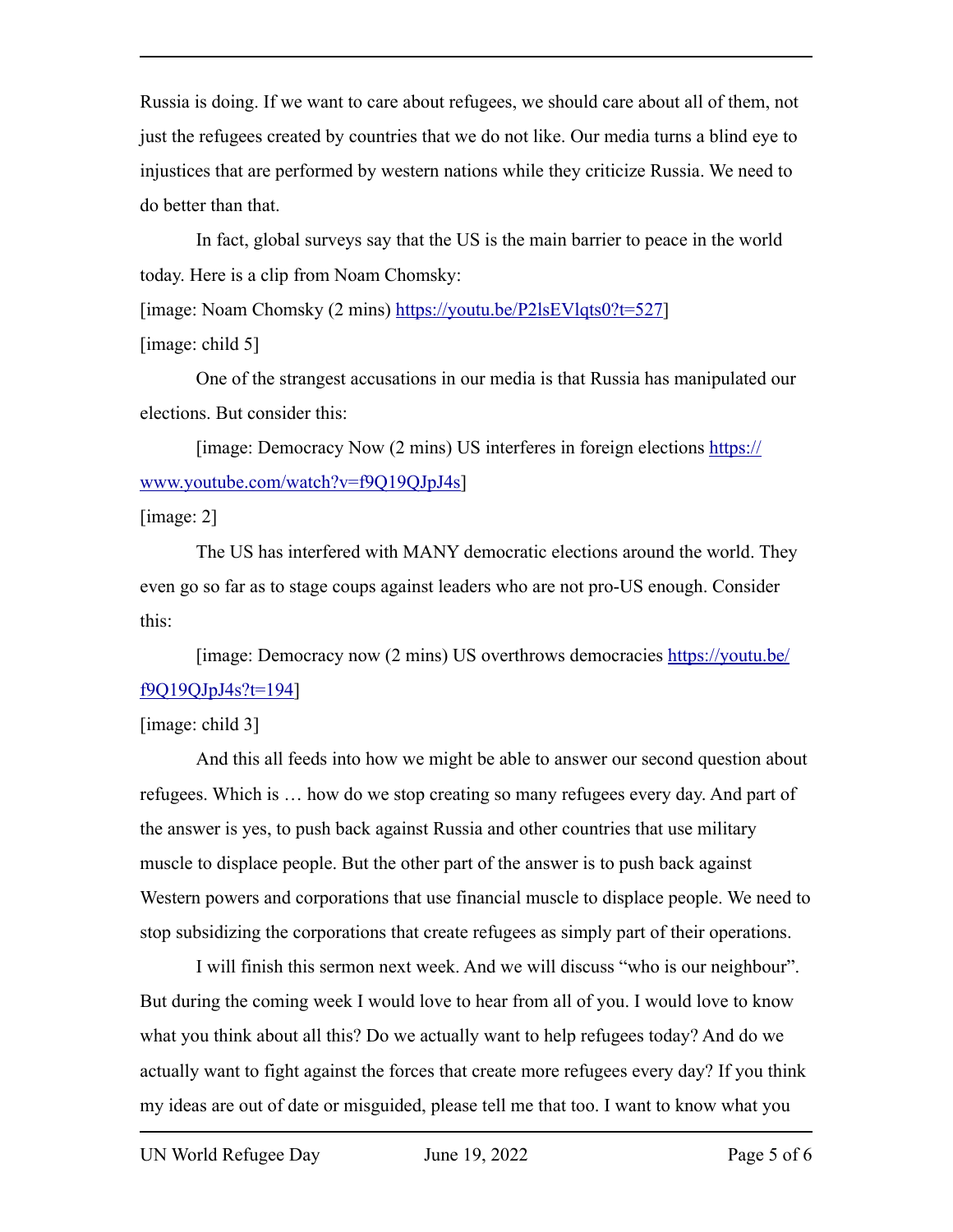Russia is doing. If we want to care about refugees, we should care about all of them, not just the refugees created by countries that we do not like. Our media turns a blind eye to injustices that are performed by western nations while they criticize Russia. We need to do better than that.

In fact, global surveys say that the US is the main barrier to peace in the world today. Here is a clip from Noam Chomsky:

[image: Noam Chomsky (2 mins)<https://youtu.be/P2lsEVlqts0?t=527>]

[image: child 5]

One of the strangest accusations in our media is that Russia has manipulated our elections. But consider this:

[image: Democracy Now (2 mins) US interferes in foreign elections [https://](https://www.youtube.com/watch?v=f9Q19QJpJ4s) [www.youtube.com/watch?v=f9Q19QJpJ4s\]](https://www.youtube.com/watch?v=f9Q19QJpJ4s)

[image: 2]

The US has interfered with MANY democratic elections around the world. They even go so far as to stage coups against leaders who are not pro-US enough. Consider this:

[image: Democracy now (2 mins) US overthrows democracies [https://youtu.be/](https://youtu.be/f9Q19QJpJ4s?t=194) [f9Q19QJpJ4s?t=194\]](https://youtu.be/f9Q19QJpJ4s?t=194)

[image: child 3]

And this all feeds into how we might be able to answer our second question about refugees. Which is … how do we stop creating so many refugees every day. And part of the answer is yes, to push back against Russia and other countries that use military muscle to displace people. But the other part of the answer is to push back against Western powers and corporations that use financial muscle to displace people. We need to stop subsidizing the corporations that create refugees as simply part of their operations.

I will finish this sermon next week. And we will discuss "who is our neighbour". But during the coming week I would love to hear from all of you. I would love to know what you think about all this? Do we actually want to help refugees today? And do we actually want to fight against the forces that create more refugees every day? If you think my ideas are out of date or misguided, please tell me that too. I want to know what you